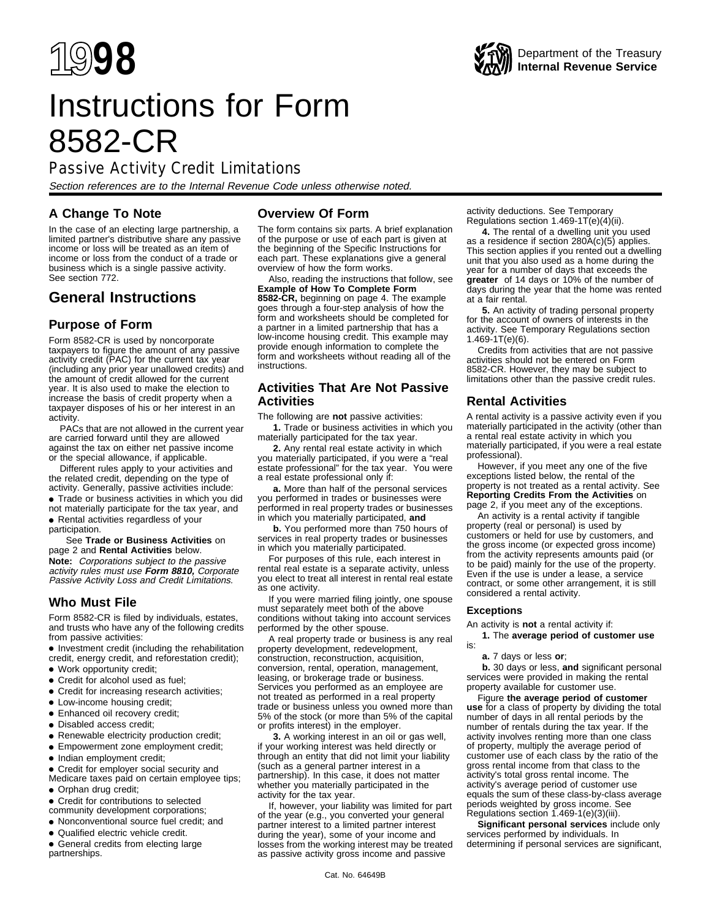# Instructions for Form 8582-CR

## Passive Activity Credit Limitations

Section references are to the Internal Revenue Code unless otherwise noted.

## **A Change To Note**

In the case of an electing large partnership, a limited partner's distributive share any passive income or loss will be treated as an item of income or loss from the conduct of a trade or business which is a single passive activity. See section 772.

## **General Instructions**

## **Purpose of Form**

Form 8582-CR is used by noncorporate taxpayers to figure the amount of any passive activity credit (PAC) for the current tax year (including any prior year unallowed credits) and the amount of credit allowed for the current year. It is also used to make the election to increase the basis of credit property when a taxpayer disposes of his or her interest in an activity.

PACs that are not allowed in the current year are carried forward until they are allowed against the tax on either net passive income or the special allowance, if applicable.

Different rules apply to your activities and the related credit, depending on the type of activity. Generally, passive activities include: ● Trade or business activities in which you did not materially participate for the tax year, and ● Rental activities regardless of your participation.

#### See **Trade or Business Activities** on page 2 and **Rental Activities** below.

**Note:** Corporations subject to the passive activity rules must use **Form 8810,** Corporate Passive Activity Loss and Credit Limitations.

## **Who Must File**

Form 8582-CR is filed by individuals, estates, and trusts who have any of the following credits from passive activities:

● Investment credit (including the rehabilitation credit, energy credit, and reforestation credit);

- Work opportunity credit;
- Credit for alcohol used as fuel;
- Credit for increasing research activities;
- Low-income housing credit;
- Enhanced oil recovery credit;
- Disabled access credit;
- Renewable electricity production credit; ● Empowerment zone employment credit;
- 
- Indian employment credit; ● Credit for employer social security and
- Medicare taxes paid on certain employee tips;
- Orphan drug credit;
- Credit for contributions to selected community development corporations;
- Nonconventional source fuel credit; and
- Qualified electric vehicle credit.
- General credits from electing large partnerships.

## **Overview Of Form**

The form contains six parts. A brief explanation of the purpose or use of each part is given at the beginning of the Specific Instructions for each part. These explanations give a general overview of how the form works.

Also, reading the instructions that follow, see **Example of How To Complete Form 8582-CR,** beginning on page 4. The example goes through a four-step analysis of how the form and worksheets should be completed for a partner in a limited partnership that has a low-income housing credit. This example may provide enough information to complete the form and worksheets without reading all of the instructions.

## **Activities That Are Not Passive Activities**

The following are **not** passive activities: **1.** Trade or business activities in which you

materially participated for the tax year. **2.** Any rental real estate activity in which you materially participated, if you were a "real estate professional" for the tax year. You were a real estate professional only if:

**a.** More than half of the personal services you performed in trades or businesses were performed in real property trades or businesses in which you materially participated, **and**

**b.** You performed more than 750 hours of services in real property trades or businesses in which you materially participated.

For purposes of this rule, each interest in rental real estate is a separate activity, unless you elect to treat all interest in rental real estate as one activity.

If you were married filing jointly, one spouse must separately meet both of the above conditions without taking into account services performed by the other spouse.

A real property trade or business is any real property development, redevelopment, construction, reconstruction, acquisition, conversion, rental, operation, management, leasing, or brokerage trade or business. Services you performed as an employee are not treated as performed in a real property trade or business unless you owned more than 5% of the stock (or more than 5% of the capital or profits interest) in the employer.

**3.** A working interest in an oil or gas well, if your working interest was held directly or through an entity that did not limit your liability (such as a general partner interest in a partnership). In this case, it does not matter whether you materially participated in the activity for the tax year.

If, however, your liability was limited for part of the year (e.g., you converted your general partner interest to a limited partner interest during the year), some of your income and losses from the working interest may be treated as passive activity gross income and passive

activity deductions. See Temporary Regulations section  $1.469 - 1T(e)(4)(ii)$ .

**4.** The rental of a dwelling unit you used as a residence if section 280A(c)(5) applies. This section applies if you rented out a dwelling unit that you also used as a home during the year for a number of days that exceeds the **greater** of 14 days or 10% of the number of days during the year that the home was rented at a fair rental.

**5.** An activity of trading personal property for the account of owners of interests in the activity. See Temporary Regulations section 1.469-1T(e)(6).

Credits from activities that are not passive activities should not be entered on Form 8582-CR. However, they may be subject to limitations other than the passive credit rules.

## **Rental Activities**

A rental activity is a passive activity even if you materially participated in the activity (other than a rental real estate activity in which you materially participated, if you were a real estate professional).

However, if you meet any one of the five exceptions listed below, the rental of the property is not treated as a rental activity. See **Reporting Credits From the Activities** on page 2, if you meet any of the exceptions.

An activity is a rental activity if tangible property (real or personal) is used by customers or held for use by customers, and the gross income (or expected gross income) from the activity represents amounts paid (or to be paid) mainly for the use of the property. Even if the use is under a lease, a service contract, or some other arrangement, it is still considered a rental activity.

#### **Exceptions**

An activity is **not** a rental activity if:

**1.** The **average period of customer use** is:

**a.** 7 days or less **or**;

**b.** 30 days or less, **and** significant personal services were provided in making the rental property available for customer use.

Figure **the average period of customer use** for a class of property by dividing the total number of days in all rental periods by the number of rentals during the tax year. If the activity involves renting more than one class of property, multiply the average period of customer use of each class by the ratio of the gross rental income from that class to the activity's total gross rental income. The activity's average period of customer use equals the sum of these class-by-class average periods weighted by gross income. See Regulations section 1.469-1(e)(3)(iii).

**Significant personal services** include only services performed by individuals. In determining if personal services are significant,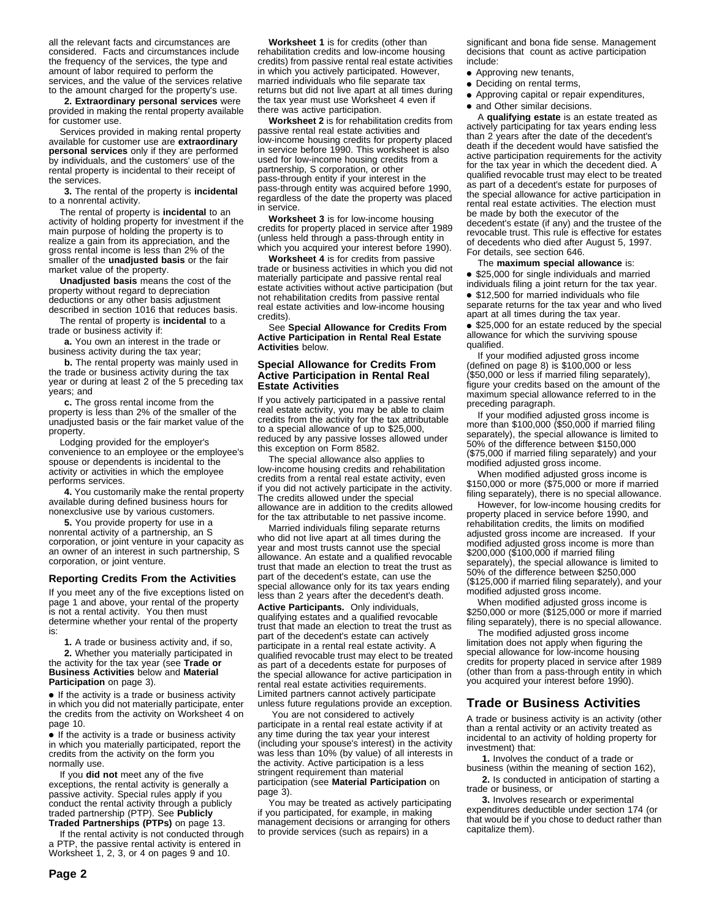all the relevant facts and circumstances are considered. Facts and circumstances include the frequency of the services, the type and amount of labor required to perform the services, and the value of the services relative to the amount charged for the property's use.

**2. Extraordinary personal services** were provided in making the rental property available for customer use.

Services provided in making rental property available for customer use are **extraordinary personal services** only if they are performed by individuals, and the customers' use of the rental property is incidental to their receipt of the services.

**3.** The rental of the property is **incidental** to a nonrental activity.

The rental of property is **incidental** to an activity of holding property for investment if the main purpose of holding the property is to realize a gain from its appreciation, and the gross rental income is less than 2% of the smaller of the **unadjusted basis** or the fair market value of the property.

**Unadjusted basis** means the cost of the property without regard to depreciation deductions or any other basis adjustment described in section 1016 that reduces basis.

The rental of property is **incidental** to a trade or business activity if:

**a.** You own an interest in the trade or business activity during the tax year;

**b.** The rental property was mainly used in the trade or business activity during the tax year or during at least 2 of the 5 preceding tax years; and

**c.** The gross rental income from the property is less than 2% of the smaller of the unadjusted basis or the fair market value of the property.

Lodging provided for the employer's convenience to an employee or the employee's spouse or dependents is incidental to the activity or activities in which the employee performs services.

**4.** You customarily make the rental property available during defined business hours for nonexclusive use by various customers.

**5.** You provide property for use in a nonrental activity of a partnership, an S corporation, or joint venture in your capacity as an owner of an interest in such partnership, S corporation, or joint venture.

#### **Reporting Credits From the Activities**

If you meet any of the five exceptions listed on page 1 and above, your rental of the property is not a rental activity. You then must determine whether your rental of the property is:

**1.** A trade or business activity and, if so,

**2.** Whether you materially participated in the activity for the tax year (see **Trade or Business Activities** below and **Material Participation** on page 3).

● If the activity is a trade or business activity in which you did not materially participate, enter the credits from the activity on Worksheet 4 on page 10.

● If the activity is a trade or business activity in which you materially participated, report the credits from the activity on the form you normally use.

If you **did not** meet any of the five exceptions, the rental activity is generally a passive activity. Special rules apply if you conduct the rental activity through a publicly traded partnership (PTP). See **Publicly Traded Partnerships (PTPs)** on page 13.

If the rental activity is not conducted through a PTP, the passive rental activity is entered in Worksheet 1, 2, 3, or 4 on pages 9 and 10.

**Worksheet 1** is for credits (other than rehabilitation credits and low-income housing credits) from passive rental real estate activities in which you actively participated. However, married individuals who file separate tax returns but did not live apart at all times during the tax year must use Worksheet 4 even if there was active participation.

**Worksheet 2** is for rehabilitation credits from passive rental real estate activities and low-income housing credits for property placed in service before 1990. This worksheet is also used for low-income housing credits from a partnership, S corporation, or other pass-through entity if your interest in the pass-through entity was acquired before 1990, regardless of the date the property was placed in service.

**Worksheet 3** is for low-income housing credits for property placed in service after 1989 (unless held through a pass-through entity in which you acquired your interest before 1990).

**Worksheet 4** is for credits from passive trade or business activities in which you did not materially participate and passive rental real estate activities without active participation (but not rehabilitation credits from passive rental real estate activities and low-income housing credits).

See **Special Allowance for Credits From Active Participation in Rental Real Estate Activities** below.

#### **Special Allowance for Credits From Active Participation in Rental Real Estate Activities**

If you actively participated in a passive rental real estate activity, you may be able to claim credits from the activity for the tax attributable to a special allowance of up to \$25,000, reduced by any passive losses allowed under this exception on Form 8582.

The special allowance also applies to low-income housing credits and rehabilitation credits from a rental real estate activity, even if you did not actively participate in the activity. The credits allowed under the special allowance are in addition to the credits allowed for the tax attributable to net passive income.

Married individuals filing separate returns who did not live apart at all times during the year and most trusts cannot use the special allowance. An estate and a qualified revocable trust that made an election to treat the trust as part of the decedent's estate, can use the special allowance only for its tax years ending less than 2 years after the decedent's death.

**Active Participants.** Only individuals, qualifying estates and a qualified revocable trust that made an election to treat the trust as part of the decedent's estate can actively participate in a rental real estate activity. A qualified revocable trust may elect to be treated as part of a decedents estate for purposes of the special allowance for active participation in rental real estate activities requirements. Limited partners cannot actively participate unless future regulations provide an exception.

 You are not considered to actively participate in a rental real estate activity if at any time during the tax year your interest (including your spouse's interest) in the activity was less than 10% (by value) of all interests in the activity. Active participation is a less stringent requirement than material participation (see **Material Participation** on page 3).

You may be treated as actively participating if you participated, for example, in making management decisions or arranging for others to provide services (such as repairs) in a

significant and bona fide sense. Management decisions that count as active participation include:

- Approving new tenants,
- Deciding on rental terms.
- Approving capital or repair expenditures,
- and Other similar decisions.

A **qualifying estate** is an estate treated as actively participating for tax years ending less than 2 years after the date of the decedent's death if the decedent would have satisfied the active participation requirements for the activity for the tax year in which the decedent died. A qualified revocable trust may elect to be treated as part of a decedent's estate for purposes of the special allowance for active participation in rental real estate activities. The election must be made by both the executor of the decedent's estate (if any) and the trustee of the revocable trust. This rule is effective for estates of decedents who died after August 5, 1997. For details, see section 646.

The **maximum special allowance** is:

● \$25,000 for single individuals and married individuals filing a joint return for the tax year. ● \$12,500 for married individuals who file separate returns for the tax year and who lived apart at all times during the tax year.

● \$25,000 for an estate reduced by the special allowance for which the surviving spouse qualified.

If your modified adjusted gross income (defined on page 8) is \$100,000 or less (\$50,000 or less if married filing separately), figure your credits based on the amount of the maximum special allowance referred to in the preceding paragraph.

If your modified adjusted gross income is more than \$100,000 (\$50,000 if married filing separately), the special allowance is limited to 50% of the difference between \$150,000 (\$75,000 if married filing separately) and your modified adjusted gross income.

When modified adjusted gross income is \$150,000 or more (\$75,000 or more if married filing separately), there is no special allowance.

However, for low-income housing credits for property placed in service before 1990, and rehabilitation credits, the limits on modified adjusted gross income are increased. If your modified adjusted gross income is more than \$200,000 (\$100,000 if married filing separately), the special allowance is limited to 50% of the difference between \$250,000 (\$125,000 if married filing separately), and your modified adjusted gross income.

When modified adjusted gross income is \$250,000 or more (\$125,000 or more if married filing separately), there is no special allowance.

The modified adjusted gross income limitation does not apply when figuring the special allowance for low-income housing credits for property placed in service after 1989 (other than from a pass-through entity in which you acquired your interest before 1990).

## **Trade or Business Activities**

A trade or business activity is an activity (other than a rental activity or an activity treated as incidental to an activity of holding property for investment) that:

**1.** Involves the conduct of a trade or business (within the meaning of section 162),

**2.** Is conducted in anticipation of starting a trade or business, or

**3.** Involves research or experimental expenditures deductible under section 174 (or that would be if you chose to deduct rather than capitalize them).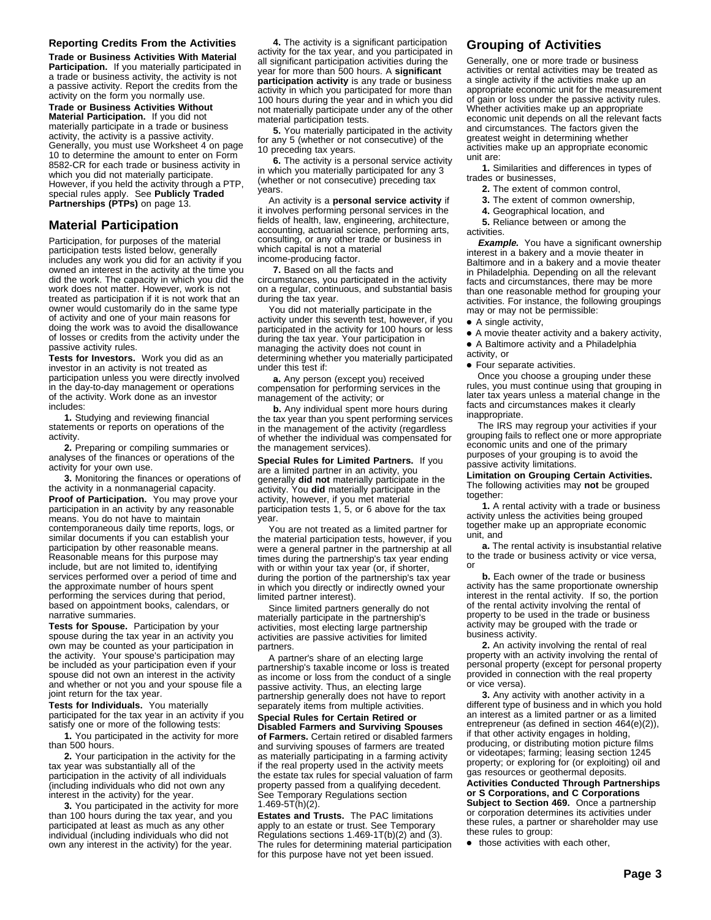#### **Reporting Credits From the Activities**

**Trade or Business Activities With Material Participation.** If you materially participated in a trade or business activity, the activity is not a passive activity. Report the credits from the activity on the form you normally use.

**Trade or Business Activities Without**

**Material Participation.** If you did not materially participate in a trade or business activity, the activity is a passive activity. Generally, you must use Worksheet 4 on page 10 to determine the amount to enter on Form 8582-CR for each trade or business activity in which you did not materially participate. However, if you held the activity through a PTP, special rules apply. See **Publicly Traded Partnerships (PTPs)** on page 13.

#### **Material Participation**

Participation, for purposes of the material participation tests listed below, generally includes any work you did for an activity if you owned an interest in the activity at the time you did the work. The capacity in which you did the work does not matter. However, work is not treated as participation if it is not work that an owner would customarily do in the same type of activity and one of your main reasons for doing the work was to avoid the disallowance of losses or credits from the activity under the passive activity rules.

**Tests for Investors.** Work you did as an investor in an activity is not treated as participation unless you were directly involved in the day-to-day management or operations of the activity. Work done as an investor includes:

**1.** Studying and reviewing financial statements or reports on operations of the activity

**2.** Preparing or compiling summaries or analyses of the finances or operations of the activity for your own use.

**3.** Monitoring the finances or operations of the activity in a nonmanagerial capacity. **Proof of Participation.** You may prove your participation in an activity by any reasonable means. You do not have to maintain contemporaneous daily time reports, logs, or similar documents if you can establish your participation by other reasonable means. Reasonable means for this purpose may include, but are not limited to, identifying services performed over a period of time and the approximate number of hours spent performing the services during that period, based on appointment books, calendars, or narrative summaries.

**Tests for Spouse.** Participation by your spouse during the tax year in an activity you own may be counted as your participation in the activity. Your spouse's participation may be included as your participation even if your spouse did not own an interest in the activity and whether or not you and your spouse file a joint return for the tax year.

**Tests for Individuals.** You materially participated for the tax year in an activity if you satisfy one or more of the following tests:

**1.** You participated in the activity for more than 500 hours.

**2.** Your participation in the activity for the tax year was substantially all of the participation in the activity of all individuals (including individuals who did not own any interest in the activity) for the year.

**3.** You participated in the activity for more than 100 hours during the tax year, and you participated at least as much as any other individual (including individuals who did not own any interest in the activity) for the year.

**4.** The activity is a significant participation activity for the tax year, and you participated in all significant participation activities during the year for more than 500 hours. A **significant participation activity** is any trade or business activity in which you participated for more than 100 hours during the year and in which you did not materially participate under any of the other material participation tests.

**5.** You materially participated in the activity for any 5 (whether or not consecutive) of the 10 preceding tax years.

**6.** The activity is a personal service activity in which you materially participated for any 3 (whether or not consecutive) preceding tax years.

An activity is a **personal service activity** if it involves performing personal services in the fields of health, law, engineering, architecture, accounting, actuarial science, performing arts, consulting, or any other trade or business in which capital is not a material income-producing factor.

**7.** Based on all the facts and circumstances, you participated in the activity on a regular, continuous, and substantial basis during the tax year.

You did not materially participate in the activity under this seventh test, however, if you participated in the activity for 100 hours or less during the tax year. Your participation in managing the activity does not count in determining whether you materially participated under this test if:

**a.** Any person (except you) received compensation for performing services in the management of the activity; or

**b.** Any individual spent more hours during the tax year than you spent performing services in the management of the activity (regardless of whether the individual was compensated for the management services).

**Special Rules for Limited Partners.** If you are a limited partner in an activity, you generally **did not** materially participate in the activity. You **did** materially participate in the activity, however, if you met material participation tests 1, 5, or 6 above for the tax year.

You are not treated as a limited partner for the material participation tests, however, if you were a general partner in the partnership at all times during the partnership's tax year ending with or within your tax year (or, if shorter, during the portion of the partnership's tax year in which you directly or indirectly owned your limited partner interest).

Since limited partners generally do not materially participate in the partnership's activities, most electing large partnership activities are passive activities for limited partners.

A partner's share of an electing large partnership's taxable income or loss is treated as income or loss from the conduct of a single passive activity. Thus, an electing large partnership generally does not have to report separately items from multiple activities.

**Special Rules for Certain Retired or Disabled Farmers and Surviving Spouses of Farmers.** Certain retired or disabled farmers and surviving spouses of farmers are treated as materially participating in a farming activity if the real property used in the activity meets the estate tax rules for special valuation of farm property passed from a qualifying decedent. See Temporary Regulations section 1.469-5T(h)(2).

**Estates and Trusts.** The PAC limitations apply to an estate or trust. See Temporary Regulations sections 1.469-1T(b)(2) and (3). The rules for determining material participation for this purpose have not yet been issued.

## **Grouping of Activities**

Generally, one or more trade or business activities or rental activities may be treated as a single activity if the activities make up an appropriate economic unit for the measurement of gain or loss under the passive activity rules. Whether activities make up an appropriate economic unit depends on all the relevant facts and circumstances. The factors given the greatest weight in determining whether activities make up an appropriate economic unit are:

**1.** Similarities and differences in types of trades or businesses,

**2.** The extent of common control,

- **3.** The extent of common ownership,
- **4.** Geographical location, and
- **5.** Reliance between or among the

activities.

**Example.** You have a significant ownership interest in a bakery and a movie theater in Baltimore and in a bakery and a movie theater in Philadelphia. Depending on all the relevant facts and circumstances, there may be more than one reasonable method for grouping your activities. For instance, the following groupings may or may not be permissible:

● A single activity,

● A movie theater activity and a bakery activity,

● A Baltimore activity and a Philadelphia

activity, or

● Four separate activities.

Once you choose a grouping under these rules, you must continue using that grouping in later tax years unless a material change in the facts and circumstances makes it clearly inappropriate.

The IRS may regroup your activities if your grouping fails to reflect one or more appropriate economic units and one of the primary purposes of your grouping is to avoid the passive activity limitations.

**Limitation on Grouping Certain Activities.** The following activities may **not** be grouped together:

**1.** A rental activity with a trade or business activity unless the activities being grouped together make up an appropriate economic unit, and

**a.** The rental activity is insubstantial relative to the trade or business activity or vice versa, or

**b.** Each owner of the trade or business activity has the same proportionate ownership interest in the rental activity. If so, the portion of the rental activity involving the rental of property to be used in the trade or business activity may be grouped with the trade or business activity.

**2.** An activity involving the rental of real property with an activity involving the rental of personal property (except for personal property provided in connection with the real property or vice versa).

**3.** Any activity with another activity in a different type of business and in which you hold an interest as a limited partner or as a limited entrepreneur (as defined in section 464(e)(2)), if that other activity engages in holding, producing, or distributing motion picture films or videotapes; farming; leasing section 1245 property; or exploring for (or exploiting) oil and gas resources or geothermal deposits.

**Activities Conducted Through Partnerships or S Corporations, and C Corporations Subject to Section 469.** Once a partnership or corporation determines its activities under these rules, a partner or shareholder may use these rules to group:

those activities with each other,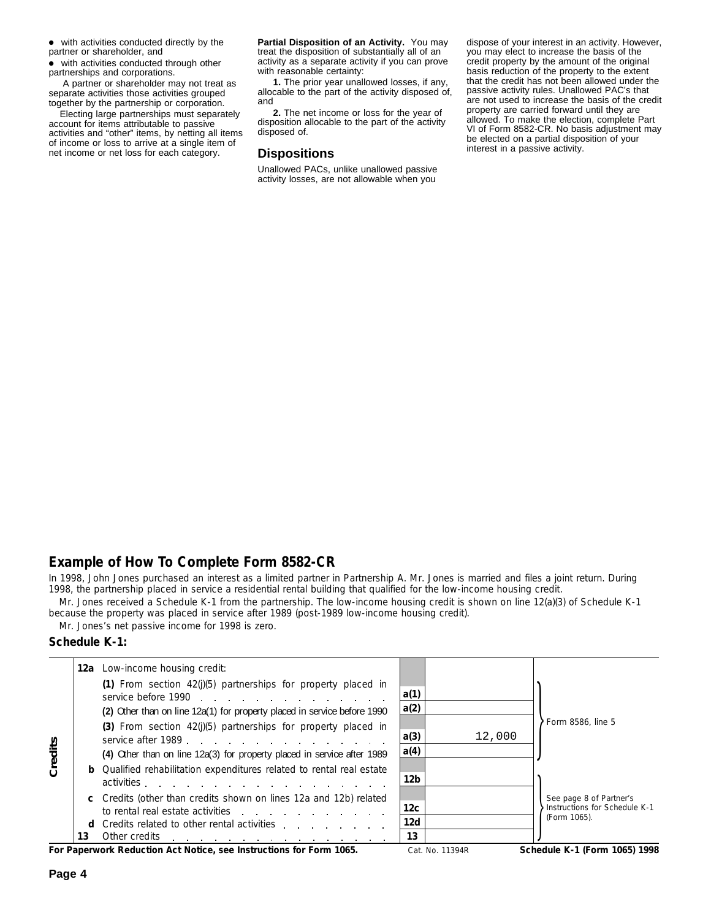● with activities conducted directly by the partner or shareholder, and

● with activities conducted through other partnerships and corporations.

 A partner or shareholder may not treat as separate activities those activities grouped together by the partnership or corporation.

Electing large partnerships must separately account for items attributable to passive activities and "other" items, by netting all items of income or loss to arrive at a single item of net income or net loss for each category.

**Partial Disposition of an Activity.** You may treat the disposition of substantially all of an activity as a separate activity if you can prove with reasonable certainty:

**1.** The prior year unallowed losses, if any, allocable to the part of the activity disposed of, and

**2.** The net income or loss for the year of disposition allocable to the part of the activity disposed of.

## **Dispositions**

Unallowed PACs, unlike unallowed passive activity losses, are not allowable when you

dispose of your interest in an activity. However, you may elect to increase the basis of the credit property by the amount of the original basis reduction of the property to the extent that the credit has not been allowed under the passive activity rules. Unallowed PAC's that are not used to increase the basis of the credit property are carried forward until they are allowed. To make the election, complete Part VI of Form 8582-CR. No basis adjustment may be elected on a partial disposition of your interest in a passive activity.

## **Example of How To Complete Form 8582-CR**

In 1998, John Jones purchased an interest as a limited partner in Partnership A. Mr. Jones is married and files a joint return. During 1998, the partnership placed in service a residential rental building that qualified for the low-income housing credit.

Mr. Jones received a Schedule K-1 from the partnership. The low-income housing credit is shown on line 12(a)(3) of Schedule K-1 because the property was placed in service after 1989 (post-1989 low-income housing credit).

Mr. Jones's net passive income for 1998 is zero.

#### **Schedule K-1:**

|         |    | <b>12a</b> Low-income housing credit:                                                                                                                                                                                                                                                               |                 |        |                                                                          |
|---------|----|-----------------------------------------------------------------------------------------------------------------------------------------------------------------------------------------------------------------------------------------------------------------------------------------------------|-----------------|--------|--------------------------------------------------------------------------|
|         |    | (1) From section $42(j)(5)$ partnerships for property placed in<br>service before 1990<br>(2) Other than on line 12a(1) for property placed in service before 1990                                                                                                                                  | a(1)<br>a(2)    |        |                                                                          |
| Credits |    | (3) From section $42(j)(5)$ partnerships for property placed in<br>service after 1989.<br>(4) Other than on line 12a(3) for property placed in service after 1989                                                                                                                                   | a(3)<br>a(4)    | 12,000 | Form 8586, line 5                                                        |
|         |    | <b>b</b> Qualified rehabilitation expenditures related to rental real estate<br>activities.                                                                                                                                                                                                         | 12 <sub>b</sub> |        |                                                                          |
|         |    | c Credits (other than credits shown on lines 12a and 12b) related<br>to rental real estate activities expansion of the state of the state of the state of the state of the state of the state of the state of the state of the state of the state of the state of the state of the state of the sta | 12c             |        | See page 8 of Partner's<br>Instructions for Schedule K-1<br>(Form 1065). |
|         | 13 | Credits related to other rental activities<br>Other credits<br>and a series of the contract of the contract of the contract of the contract of the contract of the contract of                                                                                                                      | 12d<br>13       |        |                                                                          |

For Paperwork Reduction Act Notice, see Instructions for Form 1065. Cat. No. 11394R Schedule K-1 (Form 1065) 1998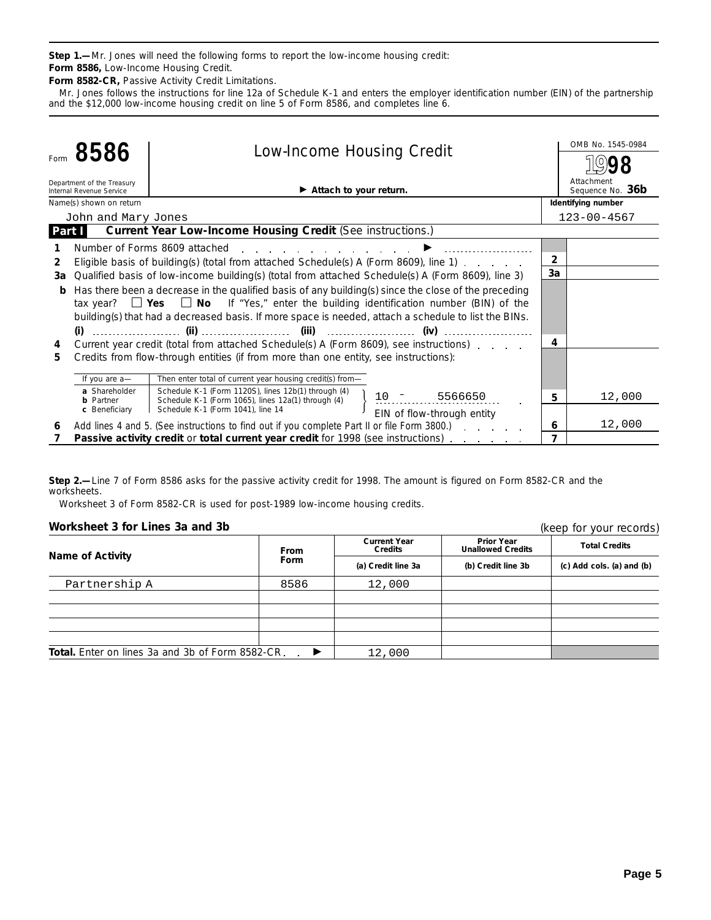**Step 1.—**Mr. Jones will need the following forms to report the low-income housing credit: **Form 8586,** Low-Income Housing Credit.

**Form 8582-CR,** Passive Activity Credit Limitations.

Mr. Jones follows the instructions for line 12a of Schedule K-1 and enters the employer identification number (EIN) of the partnership and the \$12,000 low-income housing credit on line 5 of Form 8586, and completes line 6.

|        | 8586                                                   | <b>Low-Income Housing Credit</b>                                                                                                                                                                                                                                                                               |                | OMB No. 1545-0984              |
|--------|--------------------------------------------------------|----------------------------------------------------------------------------------------------------------------------------------------------------------------------------------------------------------------------------------------------------------------------------------------------------------------|----------------|--------------------------------|
|        |                                                        |                                                                                                                                                                                                                                                                                                                |                |                                |
|        | Department of the Treasury<br>Internal Revenue Service | Attach to your return.                                                                                                                                                                                                                                                                                         |                | Attachment<br>Sequence No. 36b |
|        | Name(s) shown on return                                |                                                                                                                                                                                                                                                                                                                |                | Identifying number             |
|        | John and Mary Jones                                    |                                                                                                                                                                                                                                                                                                                |                | $123 - 00 - 4567$              |
| Part I |                                                        | Current Year Low-Income Housing Credit (See instructions.)                                                                                                                                                                                                                                                     |                |                                |
|        |                                                        | Number of Forms 8609 attached<br>and the state of the state of the state of the state of the state of the state of the state of the state of the                                                                                                                                                               |                |                                |
| 2      |                                                        | Eligible basis of building(s) (total from attached Schedule(s) A (Form 8609), line 1)                                                                                                                                                                                                                          | $\overline{2}$ |                                |
| За     |                                                        | Qualified basis of low-income building(s) (total from attached Schedule(s) A (Form 8609), line 3)                                                                                                                                                                                                              | 3a             |                                |
| b      |                                                        | Has there been a decrease in the qualified basis of any building(s) since the close of the preceding<br>tax year? $\Box$ Yes $\Box$ No If "Yes," enter the building identification number (BIN) of the<br>building(s) that had a decreased basis. If more space is needed, attach a schedule to list the BINs. |                |                                |
| 4      |                                                        | Current year credit (total from attached Schedule(s) A (Form 8609), see instructions)                                                                                                                                                                                                                          | 4              |                                |
| 5.     |                                                        | Credits from flow-through entities (if from more than one entity, see instructions):                                                                                                                                                                                                                           |                |                                |
|        | If you are a-                                          | Then enter total of current year housing credit(s) from-                                                                                                                                                                                                                                                       |                |                                |
|        | a Shareholder<br><b>b</b> Partner                      | Schedule K-1 (Form 1120S), lines 12b(1) through (4)<br>$10 - 5566650$<br>Schedule K-1 (Form 1065), lines 12a(1) through (4)                                                                                                                                                                                    | 5              | 12,000                         |
|        | c Beneficiary                                          | Schedule K-1 (Form 1041), line 14<br>EIN of flow-through entity                                                                                                                                                                                                                                                |                |                                |
| 6      |                                                        | Add lines 4 and 5. (See instructions to find out if you complete Part II or file Form 3800.)                                                                                                                                                                                                                   | 6              | 12,000                         |
|        |                                                        | Passive activity credit or total current year credit for 1998 (see instructions)                                                                                                                                                                                                                               | 7              |                                |

**Step 2.—**Line 7 of Form 8586 asks for the passive activity credit for 1998. The amount is figured on Form 8582-CR and the worksheets.

Worksheet 3 of Form 8582-CR is used for post-1989 low-income housing credits.

## **Worksheet 3 for Lines 3a and 3b**

| Worksheet 3 for Lines 3a and 3b                         |             |                                |                                        | (keep for your records)         |  |
|---------------------------------------------------------|-------------|--------------------------------|----------------------------------------|---------------------------------|--|
| <b>Name of Activity</b>                                 | <b>From</b> | <b>Current Year</b><br>Credits | Prior Year<br><b>Unallowed Credits</b> | <b>Total Credits</b>            |  |
|                                                         | Form        | (a) Credit line 3a             | (b) Credit line 3b                     | $(c)$ Add cols. $(a)$ and $(b)$ |  |
| Partnership A                                           | 8586        | 12,000                         |                                        |                                 |  |
|                                                         |             |                                |                                        |                                 |  |
|                                                         |             |                                |                                        |                                 |  |
|                                                         |             |                                |                                        |                                 |  |
|                                                         |             |                                |                                        |                                 |  |
| <b>Total.</b> Enter on lines 3a and 3b of Form 8582-CR. | 12,000      |                                |                                        |                                 |  |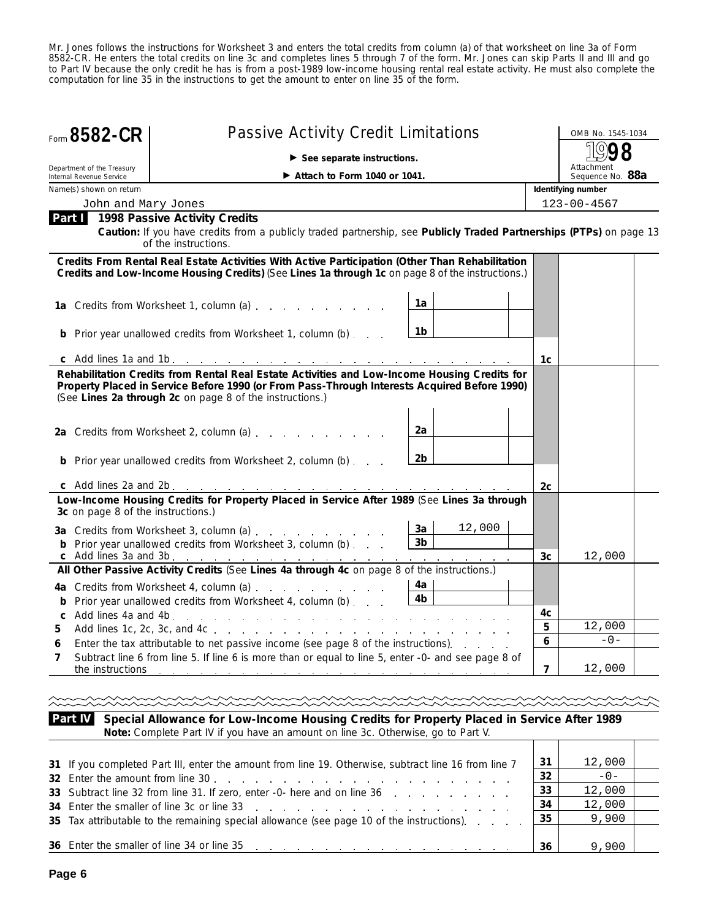Mr. Jones follows the instructions for Worksheet 3 and enters the total credits from column (a) of that worksheet on line 3a of Form 8582-CR. He enters the total credits on line 3c and completes lines 5 through 7 of the form. Mr. Jones can skip Parts II and III and go to Part IV because the only credit he has is from a post-1989 low-income housing rental real estate activity. He must also complete the computation for line 35 in the instructions to get the amount to enter on line 35 of the form.

| <b>Passive Activity Credit Limitations</b><br>Form 8582-CR |                                                        |                                                                                                                                                                                                                                                          |                |                                |                | OMB No. 1545-1034  |  |  |
|------------------------------------------------------------|--------------------------------------------------------|----------------------------------------------------------------------------------------------------------------------------------------------------------------------------------------------------------------------------------------------------------|----------------|--------------------------------|----------------|--------------------|--|--|
|                                                            |                                                        |                                                                                                                                                                                                                                                          |                |                                |                |                    |  |  |
|                                                            | Department of the Treasury<br>Internal Revenue Service | $\triangleright$ See separate instructions.<br>Attach to Form 1040 or 1041.                                                                                                                                                                              |                | Attachment<br>Sequence No. 88a |                |                    |  |  |
|                                                            | Name(s) shown on return                                |                                                                                                                                                                                                                                                          |                |                                |                | Identifying number |  |  |
|                                                            | John and Mary Jones                                    |                                                                                                                                                                                                                                                          |                |                                |                | $123 - 00 - 4567$  |  |  |
| Part I                                                     |                                                        | 1998 Passive Activity Credits<br>Caution: If you have credits from a publicly traded partnership, see Publicly Traded Partnerships (PTPs) on page 13<br>of the instructions.                                                                             |                |                                |                |                    |  |  |
|                                                            |                                                        | Credits From Rental Real Estate Activities With Active Participation (Other Than Rehabilitation<br>Credits and Low-Income Housing Credits) (See Lines 1a through 1c on page 8 of the instructions.)                                                      |                |                                |                |                    |  |  |
|                                                            |                                                        | 1a Credits from Worksheet 1, column (a)                                                                                                                                                                                                                  | 1a             |                                |                |                    |  |  |
|                                                            |                                                        | <b>b</b> Prior year unallowed credits from Worksheet 1, column (b)                                                                                                                                                                                       | 1b             |                                |                |                    |  |  |
|                                                            |                                                        |                                                                                                                                                                                                                                                          |                |                                | 1c             |                    |  |  |
|                                                            |                                                        | Rehabilitation Credits from Rental Real Estate Activities and Low-Income Housing Credits for<br>Property Placed in Service Before 1990 (or From Pass-Through Interests Acquired Before 1990)<br>(See Lines 2a through 2c on page 8 of the instructions.) |                |                                |                |                    |  |  |
|                                                            |                                                        | 2a Credits from Worksheet 2, column (a)                                                                                                                                                                                                                  | 2a             |                                |                |                    |  |  |
|                                                            |                                                        | <b>b</b> Prior year unallowed credits from Worksheet 2, column (b)                                                                                                                                                                                       | 2b             |                                |                |                    |  |  |
|                                                            |                                                        |                                                                                                                                                                                                                                                          |                |                                | 2c             |                    |  |  |
|                                                            | 3c on page 8 of the instructions.)                     | Low-Income Housing Credits for Property Placed in Service After 1989 (See Lines 3a through                                                                                                                                                               |                |                                |                |                    |  |  |
|                                                            |                                                        | 3a Credits from Worksheet 3, column (a)                                                                                                                                                                                                                  | 3a             | 12,000                         |                |                    |  |  |
|                                                            |                                                        | <b>b</b> Prior year unallowed credits from Worksheet 3, column (b)                                                                                                                                                                                       | 3 <sub>b</sub> |                                |                |                    |  |  |
|                                                            |                                                        |                                                                                                                                                                                                                                                          |                |                                | 3c             | 12,000             |  |  |
|                                                            |                                                        | All Other Passive Activity Credits (See Lines 4a through 4c on page 8 of the instructions.)                                                                                                                                                              |                |                                |                |                    |  |  |
|                                                            |                                                        | 4a Credits from Worksheet 4, column (a)                                                                                                                                                                                                                  | 4a             |                                |                |                    |  |  |
|                                                            |                                                        | <b>b</b> Prior year unallowed credits from Worksheet 4, column (b)                                                                                                                                                                                       | 4 <sub>b</sub> |                                |                |                    |  |  |
|                                                            |                                                        |                                                                                                                                                                                                                                                          |                |                                | 4c<br>5        | 12,000             |  |  |
| 5                                                          |                                                        |                                                                                                                                                                                                                                                          |                |                                | 6              | $-0-$              |  |  |
| 6<br>7                                                     |                                                        | Enter the tax attributable to net passive income (see page 8 of the instructions).<br>Subtract line 6 from line 5. If line 6 is more than or equal to line 5, enter -0- and see page 8 of                                                                |                |                                |                |                    |  |  |
|                                                            |                                                        | the instructions $\cdots$ $\cdots$ $\cdots$ $\cdots$ $\cdots$ $\cdots$ $\cdots$ $\cdots$ $\cdots$ $\cdots$ $\cdots$                                                                                                                                      |                |                                | $\overline{7}$ | 12,000             |  |  |
|                                                            |                                                        |                                                                                                                                                                                                                                                          |                |                                |                |                    |  |  |

**Special Allowance for Low-Income Housing Credits for Property Placed in Service After 1989 Part IV Note:** *Complete Part IV if you have an amount on line 3c. Otherwise, go to Part V.*  $\overline{\phantom{a}}$ 

| 31 If you completed Part III, enter the amount from line 19. Otherwise, subtract line 16 from line 7<br>32 Enter the amount from line 30. | 31<br>32 | 12,000<br>$-0-$ |  |
|-------------------------------------------------------------------------------------------------------------------------------------------|----------|-----------------|--|
| 33 Subtract line 32 from line 31. If zero, enter -0- here and on line 36                                                                  | 33       | 12,000          |  |
|                                                                                                                                           | 34       | 12,000          |  |
| 35 Tax attributable to the remaining special allowance (see page 10 of the instructions).                                                 | 35       | 9,900           |  |
|                                                                                                                                           |          |                 |  |
|                                                                                                                                           | 36       | 9,900           |  |

Т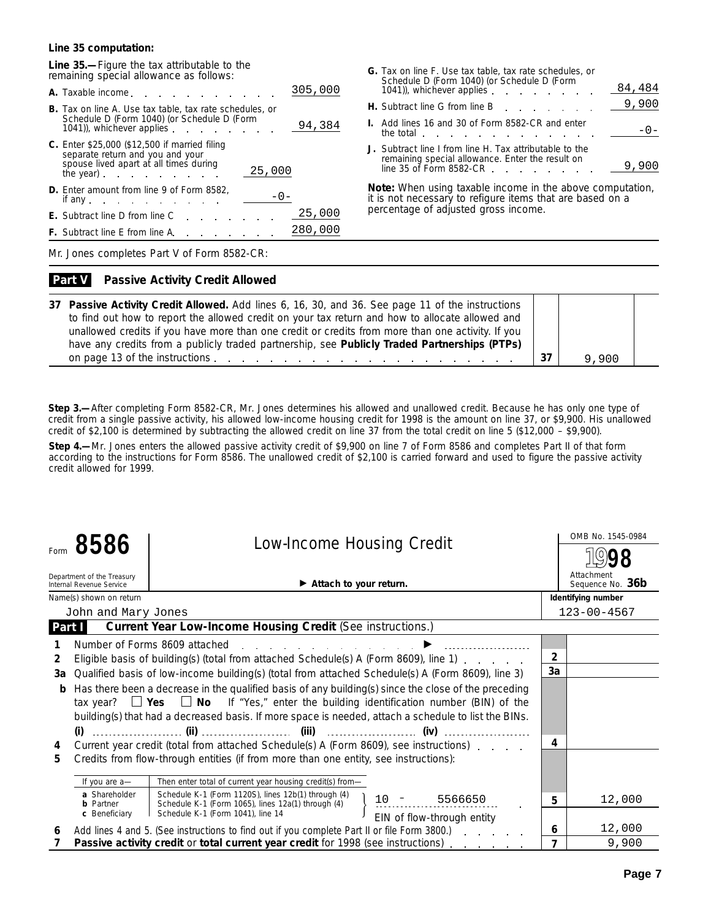#### **Line 35 computation:**

**Line 35.—**Figure the tax attributable to the remaining special allowance as follows:

| A. Taxable income                                                                                                                                                                                         | 305,000 |
|-----------------------------------------------------------------------------------------------------------------------------------------------------------------------------------------------------------|---------|
| <b>B.</b> Tax on line A. Use tax table, tax rate schedules, or<br>Schedule D (Form 1040) (or Schedule D (Form<br>1041), whichever applies                                                                 | 94,384  |
| <b>C.</b> Enter \$25,000 (\$12,500 if married filing<br>separate return and you and your<br>spouse lived apart at all times during<br>25,000<br>the year) $\qquad \qquad$ $\qquad \qquad$ $\qquad \qquad$ |         |
| <b>D.</b> Enter amount from line 9 of Form 8582,<br>if any $\cdots$ $\cdots$ $\cdots$                                                                                                                     |         |
| E. Subtract line D from line C                                                                                                                                                                            | 25,000  |
| <b>F.</b> Subtract line E from line A.                                                                                                                                                                    | 280,000 |
|                                                                                                                                                                                                           |         |

| <b>G.</b> Tax on line F. Use tax table, tax rate schedules, or<br>Schedule D (Form 1040) (or Schedule D (Form<br>1041)), whichever applies example the state of the state of the state of the state of the state of the state o | 84,484  |
|---------------------------------------------------------------------------------------------------------------------------------------------------------------------------------------------------------------------------------|---------|
| H. Subtract line G from line B $\cdot \cdot \cdot \cdot \cdot \cdot \cdot \cdot \cdot \cdot 9,900$                                                                                                                              |         |
| 1. Add lines 16 and 30 of Form 8582-CR and enter<br>the total the total the state of the total the state of the state of the state of the state of the state of the                                                             | $-() -$ |
| J. Subtract line I from line H. Tax attributable to the<br>remaining special allowance. Enter the result on<br>line 35 of Form 8582-CR $\ldots$ $\ldots$ $\ldots$                                                               |         |

**Note:** *When using taxable income in the above computation, it is not necessary to refigure items that are based on a percentage of adjusted gross income.*

Mr. Jones completes Part V of Form 8582-CR:

#### **Passive Activity Credit Allowed Part V**

| 37 Passive Activity Credit Allowed. Add lines 6, 16, 30, and 36. See page 11 of the instructions<br>to find out how to report the allowed credit on your tax return and how to allocate allowed and<br>unallowed credits if you have more than one credit or credits from more than one activity. If you |       |  |
|----------------------------------------------------------------------------------------------------------------------------------------------------------------------------------------------------------------------------------------------------------------------------------------------------------|-------|--|
| have any credits from a publicly traded partnership, see Publicly Traded Partnerships (PTPs)                                                                                                                                                                                                             |       |  |
|                                                                                                                                                                                                                                                                                                          | 9,900 |  |

**Step 3.—**After completing Form 8582-CR, Mr. Jones determines his allowed and unallowed credit. Because he has only one type of credit from a single passive activity, his allowed low-income housing credit for 1998 is the amount on line 37, or \$9,900. His unallowed credit of \$2,100 is determined by subtracting the allowed credit on line 37 from the total credit on line 5 (\$12,000 – \$9,900).

**Step 4.—**Mr. Jones enters the allowed passive activity credit of \$9,900 on line 7 of Form 8586 and completes Part II of that form according to the instructions for Form 8586. The unallowed credit of \$2,100 is carried forward and used to figure the passive activity credit allowed for 1999.

|                | 8586                                                   | <b>Low-Income Housing Credit</b>                                                                                                                                                                                                                                                                               |                | OMB No. 1545-0984              |
|----------------|--------------------------------------------------------|----------------------------------------------------------------------------------------------------------------------------------------------------------------------------------------------------------------------------------------------------------------------------------------------------------------|----------------|--------------------------------|
|                | Department of the Treasury<br>Internal Revenue Service | Attach to your return.                                                                                                                                                                                                                                                                                         |                | Attachment<br>Sequence No. 36b |
|                | Name(s) shown on return                                |                                                                                                                                                                                                                                                                                                                |                | Identifying number             |
|                | John and Mary Jones                                    |                                                                                                                                                                                                                                                                                                                |                | $123 - 00 - 4567$              |
| Part I         |                                                        | Current Year Low-Income Housing Credit (See instructions.)                                                                                                                                                                                                                                                     |                |                                |
|                |                                                        | Number of Forms 8609 attached                                                                                                                                                                                                                                                                                  |                |                                |
| $\overline{2}$ |                                                        | Eligible basis of building(s) (total from attached Schedule(s) A (Form 8609), line 1)                                                                                                                                                                                                                          | $\overline{2}$ |                                |
| За             |                                                        | Qualified basis of low-income building(s) (total from attached Schedule(s) A (Form 8609), line 3)                                                                                                                                                                                                              | 3a             |                                |
| b              |                                                        | Has there been a decrease in the qualified basis of any building(s) since the close of the preceding<br>tax year? $\Box$ Yes $\Box$ No If "Yes," enter the building identification number (BIN) of the<br>building(s) that had a decreased basis. If more space is needed, attach a schedule to list the BINs. |                |                                |
| 4              |                                                        | Current year credit (total from attached Schedule(s) A (Form 8609), see instructions)                                                                                                                                                                                                                          | 4              |                                |
| 5              |                                                        | Credits from flow-through entities (if from more than one entity, see instructions):                                                                                                                                                                                                                           |                |                                |
|                | If you are a-                                          | Then enter total of current year housing credit(s) from-                                                                                                                                                                                                                                                       |                |                                |
|                | a Shareholder<br><b>b</b> Partner                      | Schedule K-1 (Form 1120S), lines 12b(1) through (4)<br>$10 - 5566650$<br>Schedule K-1 (Form 1065), lines 12a(1) through (4)                                                                                                                                                                                    | 5              | 12,000                         |
|                | c Beneficiary                                          | EIN of flow-through entity<br>Schedule K-1 (Form 1041), line 14                                                                                                                                                                                                                                                |                |                                |
| 6              |                                                        | Add lines 4 and 5. (See instructions to find out if you complete Part II or file Form 3800.)                                                                                                                                                                                                                   | 6              | 12,000                         |
|                |                                                        | Passive activity credit or total current year credit for 1998 (see instructions)                                                                                                                                                                                                                               | 7              | 9,900                          |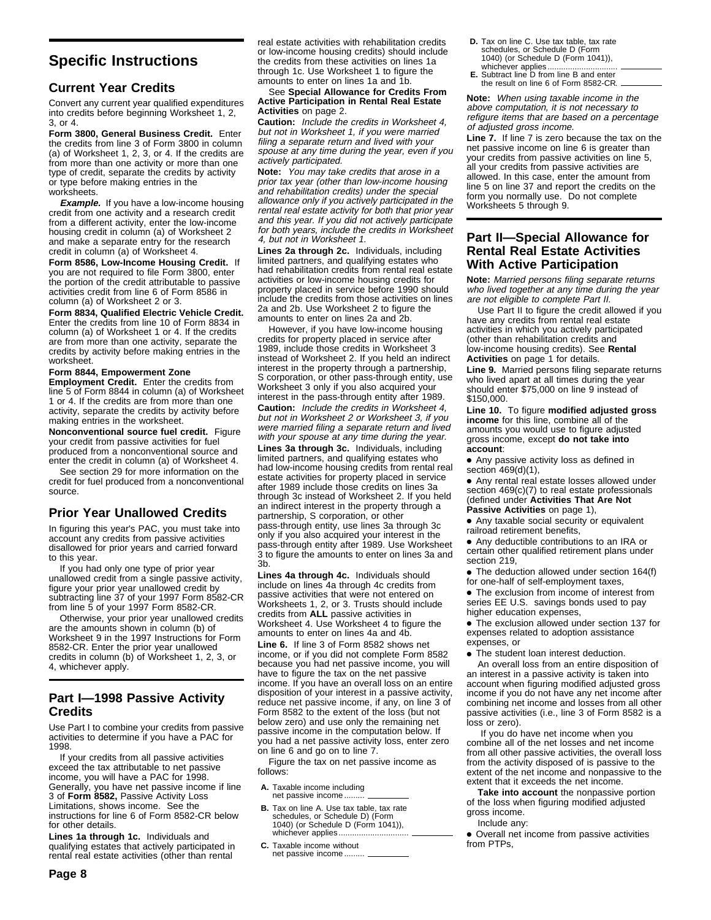## **Specific Instructions**

## **Current Year Credits**

Convert any current year qualified expenditures into credits before beginning Worksheet 1, 2, 3, or 4.

**Form 3800, General Business Credit.** Enter the credits from line 3 of Form 3800 in column (a) of Worksheet 1, 2, 3, or 4. If the credits are from more than one activity or more than one type of credit, separate the credits by activity or type before making entries in the worksheets.

**Example.** If you have a low-income housing credit from one activity and a research credit from a different activity, enter the low-income housing credit in column (a) of Worksheet 2 and make a separate entry for the research credit in column (a) of Worksheet 4.

**Form 8586, Low-Income Housing Credit.** If you are not required to file Form 3800, enter the portion of the credit attributable to passive activities credit from line 6 of Form 8586 in column (a) of Worksheet 2 or 3.

**Form 8834, Qualified Electric Vehicle Credit.** Enter the credits from line 10 of Form 8834 in column (a) of Worksheet 1 or 4. If the credits are from more than one activity, separate the credits by activity before making entries in the worksheet.

#### **Form 8844, Empowerment Zone**

**Employment Credit.** Enter the credits from line 5 of Form 8844 in column (a) of Worksheet 1 or 4. If the credits are from more than one activity, separate the credits by activity before making entries in the worksheet.

**Nonconventional source fuel credit.** Figure your credit from passive activities for fuel produced from a nonconventional source and enter the credit in column (a) of Worksheet 4.

See section 29 for more information on the credit for fuel produced from a nonconventional source.

## **Prior Year Unallowed Credits**

In figuring this year's PAC, you must take into account any credits from passive activities disallowed for prior years and carried forward to this year.

If you had only one type of prior year unallowed credit from a single passive activity, figure your prior year unallowed credit by subtracting line 37 of your 1997 Form 8582-CR from line 5 of your 1997 Form 8582-CR.

Otherwise, your prior year unallowed credits are the amounts shown in column (b) of Worksheet 9 in the 1997 Instructions for Form 8582-CR. Enter the prior year unallowed credits in column (b) of Worksheet 1, 2, 3, or 4, whichever apply.

## **Part I—1998 Passive Activity Credits**

Use Part I to combine your credits from passive activities to determine if you have a PAC for 1998.

If your credits from all passive activities exceed the tax attributable to net passive income, you will have a PAC for 1998. Generally, you have net passive income if line 3 of **Form 8582,** Passive Activity Loss Limitations, shows income. See the instructions for line 6 of Form 8582-CR below for other details.

**Lines 1a through 1c.** Individuals and qualifying estates that actively participated in rental real estate activities (other than rental

real estate activities with rehabilitation credits or low-income housing credits) should include the credits from these activities on lines 1a through 1c. Use Worksheet 1 to figure the amounts to enter on lines 1a and 1b.

See **Special Allowance for Credits From Active Participation in Rental Real Estate Activities** on page 2.

**Caution:** Include the credits in Worksheet 4, but not in Worksheet 1, if you were married filing a separate return and lived with your spouse at any time during the year, even if you actively participated.

**Note:** You may take credits that arose in a prior tax year (other than low-income housing and rehabilitation credits) under the special allowance only if you actively participated in the rental real estate activity for both that prior year and this year. If you did not actively participate for both years, include the credits in Worksheet 4, but not in Worksheet 1.

**Lines 2a through 2c.** Individuals, including limited partners, and qualifying estates who had rehabilitation credits from rental real estate activities or low-income housing credits for property placed in service before 1990 should include the credits from those activities on lines 2a and 2b. Use Worksheet 2 to figure the amounts to enter on lines 2a and 2b.

However, if you have low-income housing credits for property placed in service after 1989, include those credits in Worksheet 3 instead of Worksheet 2. If you held an indirect interest in the property through a partnership, S corporation, or other pass-through entity, use Worksheet 3 only if you also acquired your interest in the pass-through entity after 1989. **Caution:** Include the credits in Worksheet 4, but not in Worksheet 2 or Worksheet 3, if you were married filing a separate return and lived with your spouse at any time during the year.

**Lines 3a through 3c.** Individuals, including limited partners, and qualifying estates who had low-income housing credits from rental real estate activities for property placed in service after 1989 include those credits on lines 3a through 3c instead of Worksheet 2. If you held an indirect interest in the property through a partnership, S corporation, or other pass-through entity, use lines 3a through 3c only if you also acquired your interest in the pass-through entity after 1989. Use Worksheet 3 to figure the amounts to enter on lines 3a and 3b.

**Lines 4a through 4c.** Individuals should include on lines 4a through 4c credits from passive activities that were not entered on Worksheets 1, 2, or 3. Trusts should include credits from **ALL** passive activities in Worksheet 4. Use Worksheet 4 to figure the amounts to enter on lines 4a and 4b. **Line 6.** If line 3 of Form 8582 shows net income, or if you did not complete Form 8582 because you had net passive income, you will have to figure the tax on the net passive income. If you have an overall loss on an entire disposition of your interest in a passive activity, reduce net passive income, if any, on line 3 of Form 8582 to the extent of the loss (but not below zero) and use only the remaining net passive income in the computation below. If you had a net passive activity loss, enter zero on line 6 and go on to line 7.

Figure the tax on net passive income as follows:

- **A.** Taxable income including net passive income...
- **B.** Tax on line A. Use tax table, tax rate schedules, or Schedule D) (Form 1040) (or Schedule D (Form 1041)), whichever applies.
- **C.** Taxable income without net passive income...
- **D.** Tax on line C. Use tax table, tax rate schedules, or Schedule D (Form 1040) (or Schedule D (Form 1041)),
- whichever applies............................... **E.** Subtract line D from line B and enter the result on line 6 of Form 8582-CR.

**Note:** When using taxable income in the above computation, it is not necessary to refigure items that are based on a percentage of adjusted gross income.

**Line 7.** If line 7 is zero because the tax on the net passive income on line 6 is greater than your credits from passive activities on line 5, all your credits from passive activities are allowed. In this case, enter the amount from line 5 on line 37 and report the credits on the form you normally use. Do not complete Worksheets 5 through 9.

#### **Part II—Special Allowance for Rental Real Estate Activities With Active Participation**

**Note:** Married persons filing separate returns who lived together at any time during the year are not eligible to complete Part II.

Use Part II to figure the credit allowed if you have any credits from rental real estate activities in which you actively participated (other than rehabilitation credits and low-income housing credits). See **Rental Activities** on page 1 for details.

**Line 9.** Married persons filing separate returns who lived apart at all times during the year should enter \$75,000 on line 9 instead of \$150,000.

**Line 10.** To figure **modified adjusted gross income** for this line, combine all of the amounts you would use to figure adjusted gross income, except **do not take into account**:

● Any passive activity loss as defined in section 469(d)(1),

● Any rental real estate losses allowed under section 469(c)(7) to real estate professionals (defined under **Activities That Are Not Passive Activities** on page 1),

● Any taxable social security or equivalent railroad retirement benefits,

● Any deductible contributions to an IRA or certain other qualified retirement plans under section 219,

• The deduction allowed under section 164(f) for one-half of self-employment taxes,

• The exclusion from income of interest from series EE U.S. savings bonds used to pay higher education expenses,

● The exclusion allowed under section 137 for expenses related to adoption assistance expenses, or

● The student loan interest deduction.

An overall loss from an entire disposition of an interest in a passive activity is taken into account when figuring modified adjusted gross income if you do not have any net income after combining net income and losses from all other passive activities (i.e., line 3 of Form 8582 is a loss or zero).

 If you do have net income when you combine all of the net losses and net income from all other passive activities, the overall loss from the activity disposed of is passive to the extent of the net income and nonpassive to the extent that it exceeds the net income.

**Take into account** the nonpassive portion of the loss when figuring modified adjusted gross income.

#### Include any:

● Overall net income from passive activities from PTPs,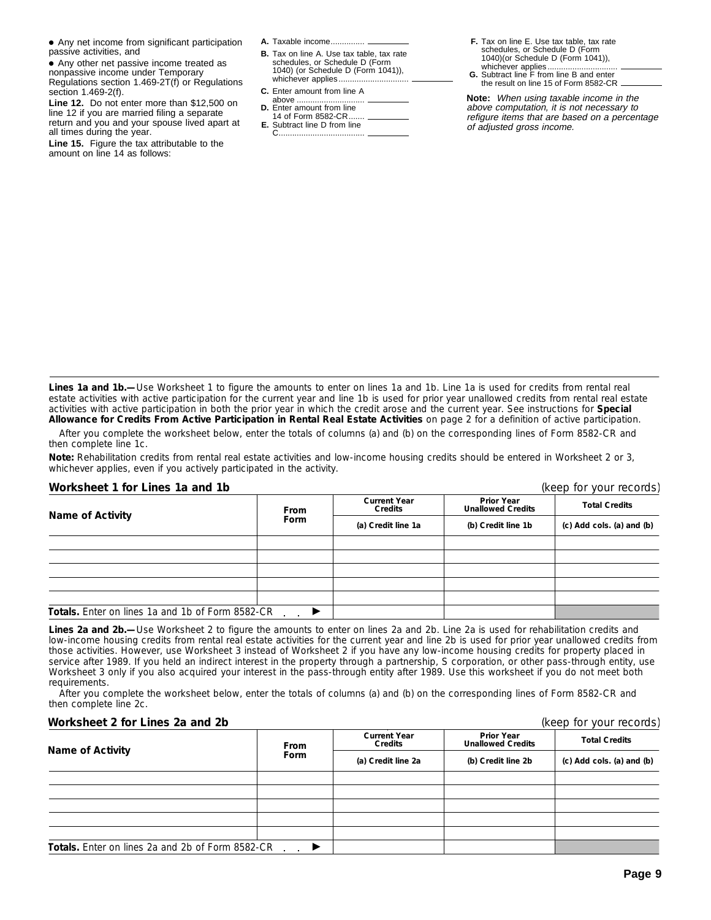● Any net income from significant participation passive activities, and

● Any other net passive income treated as nonpassive income under Temporary Regulations section 1.469-2T(f) or Regulations section 1.469-2(f).

**Line 12.** Do not enter more than \$12,500 on line 12 if you are married filing a separate return and you and your spouse lived apart at all times during the year.

**Line 15.** Figure the tax attributable to the amount on line 14 as follows:

- **A.** Taxable income.
- whichever applies............................... whichever applies............................... **G.** Subtract line F from line B and enter **B.** Tax on line A. Use tax table, tax rate schedules, or Schedule D (Form 1040) (or Schedule D (Form 1041)),
- 
- above .............................. **D.** Enter amount from line
- 14 of Form 8582-CR.......
- **E.** Subtract line D from line C ......................................
- **F.** Tax on line E. Use tax table, tax rate schedules, or Schedule D (Form 1040)(or Schedule D (Form 1041)),
- the result on line 15 of Form 8582-CR. **C.** Enter amount from line A

**Note:** When using taxable income in the above computation, it is not necessary to refigure items that are based on a percentage of adjusted gross income.

**Lines 1a and 1b.—**Use Worksheet 1 to figure the amounts to enter on lines 1a and 1b. Line 1a is used for credits from rental real estate activities with active participation for the current year and line 1b is used for prior year unallowed credits from rental real estate activities with active participation in both the prior year in which the credit arose and the current year. See instructions for **Special Allowance for Credits From Active Participation in Rental Real Estate Activities** on page 2 for a definition of active participation.

After you complete the worksheet below, enter the totals of columns (a) and (b) on the corresponding lines of Form 8582-CR and then complete line 1c.

**Note:** *Rehabilitation credits from rental real estate activities and low-income housing credits should be entered in Worksheet 2 or 3, whichever applies, even if you actively participated in the activity.*

#### **Worksheet 1 for Lines 1a and 1b** (keep for your records)

| Name of Activity                                 | From                       | <b>Prior Year</b><br><b>Current Year</b><br><b>Unallowed Credits</b><br>Credits |                    | <b>Total Credits</b><br>(c) Add cols. (a) and (b) |  |
|--------------------------------------------------|----------------------------|---------------------------------------------------------------------------------|--------------------|---------------------------------------------------|--|
|                                                  | Form<br>(a) Credit line 1a |                                                                                 | (b) Credit line 1b |                                                   |  |
|                                                  |                            |                                                                                 |                    |                                                   |  |
|                                                  |                            |                                                                                 |                    |                                                   |  |
|                                                  |                            |                                                                                 |                    |                                                   |  |
|                                                  |                            |                                                                                 |                    |                                                   |  |
|                                                  |                            |                                                                                 |                    |                                                   |  |
| Totals. Enter on lines 1a and 1b of Form 8582-CR |                            |                                                                                 |                    |                                                   |  |

**Lines 2a and 2b.—**Use Worksheet 2 to figure the amounts to enter on lines 2a and 2b. Line 2a is used for rehabilitation credits and low-income housing credits from rental real estate activities for the current year and line 2b is used for prior year unallowed credits from those activities. However, use Worksheet 3 instead of Worksheet 2 if you have any low-income housing credits for property placed in service after 1989. If you held an indirect interest in the property through a partnership, S corporation, or other pass-through entity, use Worksheet 3 only if you also acquired your interest in the pass-through entity after 1989. Use this worksheet if you do not meet both requirements.

After you complete the worksheet below, enter the totals of columns (a) and (b) on the corresponding lines of Form 8582-CR and then complete line 2c.

#### **Worksheet 2 for Lines 2a and 2b** (keep for your records)

| Name of Activity                                 | <b>From</b> | <b>Current Year</b><br>Credits | <b>Prior Year</b><br><b>Unallowed Credits</b> | <b>Total Credits</b>      |  |
|--------------------------------------------------|-------------|--------------------------------|-----------------------------------------------|---------------------------|--|
|                                                  | Form        | (a) Credit line 2a             | (b) Credit line 2b                            | (c) Add cols. (a) and (b) |  |
|                                                  |             |                                |                                               |                           |  |
|                                                  |             |                                |                                               |                           |  |
|                                                  |             |                                |                                               |                           |  |
|                                                  |             |                                |                                               |                           |  |
|                                                  |             |                                |                                               |                           |  |
| Totals. Enter on lines 2a and 2b of Form 8582-CR |             |                                |                                               |                           |  |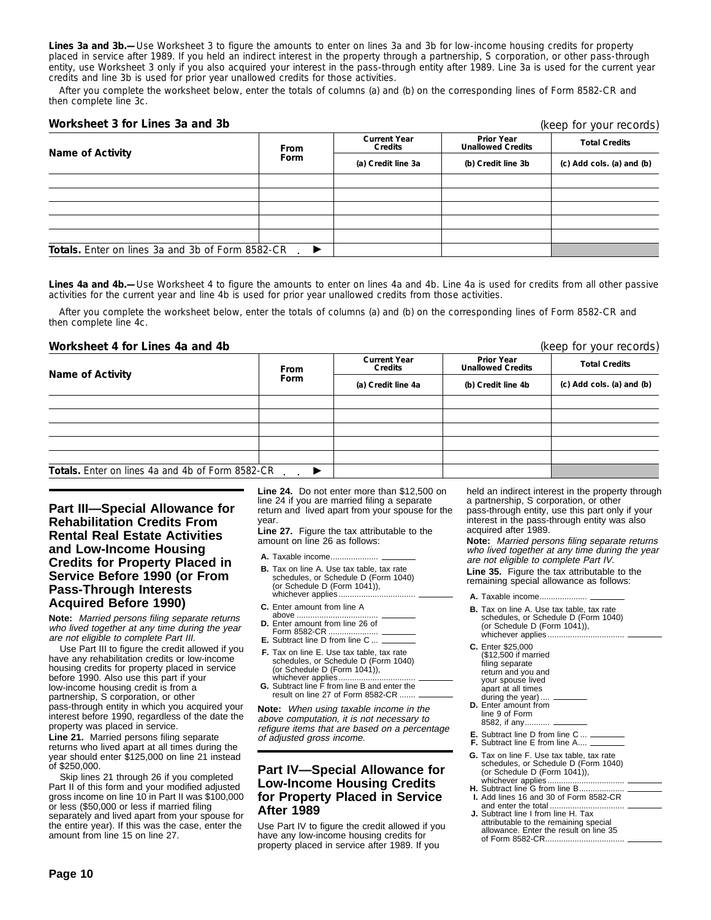**Lines 3a and 3b.—**Use Worksheet 3 to figure the amounts to enter on lines 3a and 3b for low-income housing credits for property placed in service after 1989. If you held an indirect interest in the property through a partnership, S corporation, or other pass-through entity, use Worksheet 3 only if you also acquired your interest in the pass-through entity after 1989. Line 3a is used for the current year credits and line 3b is used for prior year unallowed credits for those activities.

After you complete the worksheet below, enter the totals of columns (a) and (b) on the corresponding lines of Form 8582-CR and then complete line 3c.

#### **Worksheet 3 for Lines 3a and 3b**

| Name of Activity                                        | <b>From</b><br>Form | <b>Current Year</b><br>Credits | <b>Prior Year</b><br><b>Unallowed Credits</b> | <b>Total Credits</b>      |
|---------------------------------------------------------|---------------------|--------------------------------|-----------------------------------------------|---------------------------|
|                                                         |                     | (a) Credit line 3a             | (b) Credit line 3b                            | (c) Add cols. (a) and (b) |
|                                                         |                     |                                |                                               |                           |
|                                                         |                     |                                |                                               |                           |
|                                                         |                     |                                |                                               |                           |
|                                                         |                     |                                |                                               |                           |
|                                                         |                     |                                |                                               |                           |
| <b>Totals.</b> Enter on lines 3a and 3b of Form 8582-CR | ▸                   |                                |                                               |                           |

**Lines 4a and 4b.—**Use Worksheet 4 to figure the amounts to enter on lines 4a and 4b. Line 4a is used for credits from all other passive activities for the current year and line 4b is used for prior year unallowed credits from those activities.

After you complete the worksheet below, enter the totals of columns (a) and (b) on the corresponding lines of Form 8582-CR and then complete line 4c.

#### **Worksheet 4 for Lines 4a and 4b** (keep for your records)

| Name of Activity                                 | From<br>Form | <b>Current Year</b><br>Credits | <b>Prior Year</b><br><b>Unallowed Credits</b> | .<br><b>Total Credits</b> |
|--------------------------------------------------|--------------|--------------------------------|-----------------------------------------------|---------------------------|
|                                                  |              | (a) Credit line 4a             | (b) Credit line 4b                            | (c) Add cols. (a) and (b) |
|                                                  |              |                                |                                               |                           |
|                                                  |              |                                |                                               |                           |
|                                                  |              |                                |                                               |                           |
|                                                  |              |                                |                                               |                           |
|                                                  |              |                                |                                               |                           |
| Totals. Enter on lines 4a and 4b of Form 8582-CR |              |                                |                                               |                           |

## **Part III—Special Allowance for Rehabilitation Credits From Rental Real Estate Activities and Low-Income Housing Credits for Property Placed in Service Before 1990 (or From Pass-Through Interests Acquired Before 1990)**

**Note:** Married persons filing separate returns who lived together at any time during the year are not eligible to complete Part III.

Use Part III to figure the credit allowed if you have any rehabilitation credits or low-income housing credits for property placed in service before 1990. Also use this part if your low-income housing credit is from a partnership, S corporation, or other pass-through entity in which you acquired your interest before 1990, regardless of the date the property was placed in service.

**Line 21.** Married persons filing separate returns who lived apart at all times during the year should enter \$125,000 on line 21 instead of \$250,000.

Skip lines 21 through 26 if you completed Part II of this form and your modified adjusted gross income on line 10 in Part II was \$100,000 or less (\$50,000 or less if married filing separately and lived apart from your spouse for the entire year). If this was the case, enter the amount from line 15 on line 27.

**Line 24.** Do not enter more than \$12,500 on line 24 if you are married filing a separate return and lived apart from your spouse for the year.

**Line 27.** Figure the tax attributable to the amount on line 26 as follows:

- **A.** Taxable income.....................
- **B.** Tax on line A. Use tax table, tax rate schedules, or Schedule D (Form 1040) (or Schedule D (Form 1041)), whichever applies.................................. **A.** Taxable income.....................
- **C.** Enter amount from line A
- above .................................... **D.** Enter amount from line 26 of
- Form 8582-CR ...................... **E.** Subtract line D from line C ...
- **F.** Tax on line E. Use tax table, tax rate schedules, or Schedule D (Form 1040) (or Schedule D (Form 1041)),
- whichever applies... **G.** Subtract line F from line B and enter the result on line 27 of Form 8582-CR .......

**Note:** When using taxable income in the above computation, it is not necessary to refigure items that are based on a percentage of adjusted gross income.

## **Part IV—Special Allowance for Low-Income Housing Credits for Property Placed in Service After 1989**

Use Part IV to figure the credit allowed if you have any low-income housing credits for property placed in service after 1989. If you

held an indirect interest in the property through a partnership, S corporation, or other pass-through entity, use this part only if your interest in the pass-through entity was also acquired after 1989.

**Note:** Married persons filing separate returns who lived together at any time during the year are not eligible to complete Part IV.

**Line 35.** Figure the tax attributable to the remaining special allowance as follows:

- 
- **B.** Tax on line A. Use tax table, tax rate schedules, or Schedule D (Form 1040) (or Schedule D (Form 1041)), whichever applies.

**C.** Enter \$25,000 (\$12,500 if married filing separate return and you and your spouse lived

- apart at all times
- during the year). **D.** Enter amount from line 9 of Form
- 8582, if any....
- **E.** Subtract line D from line C ... **F.** Subtract line E from line A....
- **G.** Tax on line F. Use tax table, tax rate schedules, or Schedule D (Form 1040) (or Schedule D (Form 1041)), whichever applies....
- **H.** Subtract line G from line B... **I.** Add lines 16 and 30 of Form 8582-CR
- and enter the total ................................. **J.** Subtract line I from line H. Tax attributable to the remaining special allowance. Enter the result on line 35 of Form 8582-CR......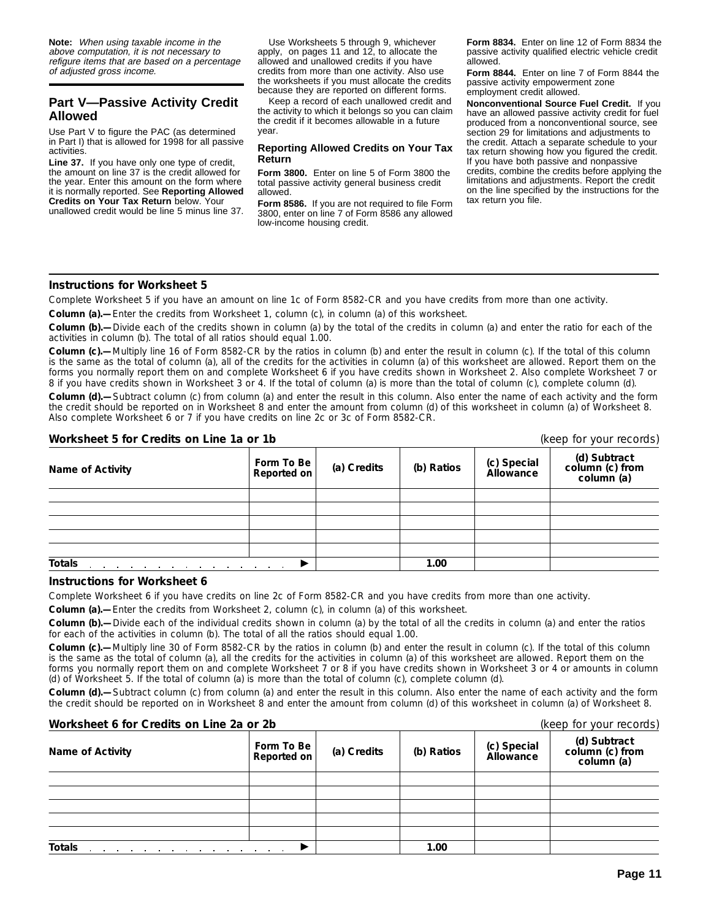**Note:** When using taxable income in the above computation, it is not necessary to refigure items that are based on a percentage of adjusted gross income.

## **Part V—Passive Activity Credit Allowed**

Use Part V to figure the PAC (as determined in Part I) that is allowed for 1998 for all passive activities.

**Line 37.** If you have only one type of credit, the amount on line 37 is the credit allowed for the year. Enter this amount on the form where it is normally reported. See **Reporting Allowed Credits on Your Tax Return** below. Your unallowed credit would be line 5 minus line 37.

Use Worksheets 5 through 9, whichever apply, on pages 11 and 12, to allocate the allowed and unallowed credits if you have credits from more than one activity. Also use the worksheets if you must allocate the credits because they are reported on different forms.

Keep a record of each unallowed credit and the activity to which it belongs so you can claim the credit if it becomes allowable in a future year.

#### **Reporting Allowed Credits on Your Tax Return**

**Form 3800.** Enter on line 5 of Form 3800 the total passive activity general business credit allowed.

**Form 8586.** If you are not required to file Form 3800, enter on line 7 of Form 8586 any allowed low-income housing credit.

**Form 8834.** Enter on line 12 of Form 8834 the passive activity qualified electric vehicle credit allowed.

**Form 8844.** Enter on line 7 of Form 8844 the passive activity empowerment zone employment credit allowed.

**Nonconventional Source Fuel Credit.** If you have an allowed passive activity credit for fuel produced from a nonconventional source, see section 29 for limitations and adjustments to the credit. Attach a separate schedule to your tax return showing how you figured the credit. If you have both passive and nonpassive credits, combine the credits before applying the limitations and adjustments. Report the credit on the line specified by the instructions for the tax return you file.

#### **Instructions for Worksheet 5**

Complete Worksheet 5 if you have an amount on line 1c of Form 8582-CR and you have credits from more than one activity.

**Column (a).—**Enter the credits from Worksheet 1, column (c), in column (a) of this worksheet.

**Column (b).—**Divide each of the credits shown in column (a) by the total of the credits in column (a) and enter the ratio for each of the activities in column (b). The total of all ratios should equal 1.00.

**Column (c).—**Multiply line 16 of Form 8582-CR by the ratios in column (b) and enter the result in column (c). If the total of this column is the same as the total of column (a), all of the credits for the activities in column (a) of this worksheet are allowed. Report them on the forms you normally report them on and complete Worksheet 6 if you have credits shown in Worksheet 2. Also complete Worksheet 7 or 8 if you have credits shown in Worksheet 3 or 4. If the total of column (a) is more than the total of column (c), complete column (d).

**Column (d).—**Subtract column (c) from column (a) and enter the result in this column. Also enter the name of each activity and the form the credit should be reported on in Worksheet 8 and enter the amount from column (d) of this worksheet in column (a) of Worksheet 8. Also complete Worksheet 6 or 7 if you have credits on line 2c or 3c of Form 8582-CR.

#### **Worksheet 5 for Credits on Line 1a or 1b** (keep for your records)

| <u>WUINSIIGGI JIUI CIGUIIS UII LIIIG TA UI TU</u>                                |                           |             |            | INCENTUL YUUL ICCULUS)   |                                               |
|----------------------------------------------------------------------------------|---------------------------|-------------|------------|--------------------------|-----------------------------------------------|
| Name of Activity                                                                 | Form To Be<br>Reported on | (a) Credits | (b) Ratios | (c) Special<br>Allowance | (d) Subtract<br>column (c) from<br>column (a) |
|                                                                                  |                           |             |            |                          |                                               |
|                                                                                  |                           |             |            |                          |                                               |
|                                                                                  |                           |             |            |                          |                                               |
|                                                                                  |                           |             |            |                          |                                               |
|                                                                                  |                           |             |            |                          |                                               |
| <b>Totals</b><br>the contract of the contract of the contract of the contract of |                           |             | 1.00       |                          |                                               |

#### **Instructions for Worksheet 6**

Complete Worksheet 6 if you have credits on line 2c of Form 8582-CR and you have credits from more than one activity.

**Column (a).—**Enter the credits from Worksheet 2, column (c), in column (a) of this worksheet.

**Column (b).—**Divide each of the individual credits shown in column (a) by the total of all the credits in column (a) and enter the ratios for each of the activities in column (b). The total of all the ratios should equal 1.00.

**Column (c).—**Multiply line 30 of Form 8582-CR by the ratios in column (b) and enter the result in column (c). If the total of this column is the same as the total of column (a), all the credits for the activities in column (a) of this worksheet are allowed. Report them on the forms you normally report them on and complete Worksheet 7 or 8 if you have credits shown in Worksheet 3 or 4 or amounts in column (d) of Worksheet 5. If the total of column (a) is more than the total of column (c), complete column (d).

**Column (d).—**Subtract column (c) from column (a) and enter the result in this column. Also enter the name of each activity and the form the credit should be reported on in Worksheet 8 and enter the amount from column (d) of this worksheet in column (a) of Worksheet 8.

| Worksheet 6 for Credits on Line 2a or 2b                                                         |                           |             |            | (keep for your records)  |                                               |
|--------------------------------------------------------------------------------------------------|---------------------------|-------------|------------|--------------------------|-----------------------------------------------|
| Name of Activity                                                                                 | Form To Be<br>Reported on | (a) Credits | (b) Ratios | (c) Special<br>Allowance | (d) Subtract<br>column (c) from<br>column (a) |
|                                                                                                  |                           |             |            |                          |                                               |
|                                                                                                  |                           |             |            |                          |                                               |
|                                                                                                  |                           |             |            |                          |                                               |
|                                                                                                  |                           |             |            |                          |                                               |
|                                                                                                  |                           |             |            |                          |                                               |
| <b>Totals</b><br>the contract of the contract of the contract of the contract of the contract of |                           |             | 1.00       |                          |                                               |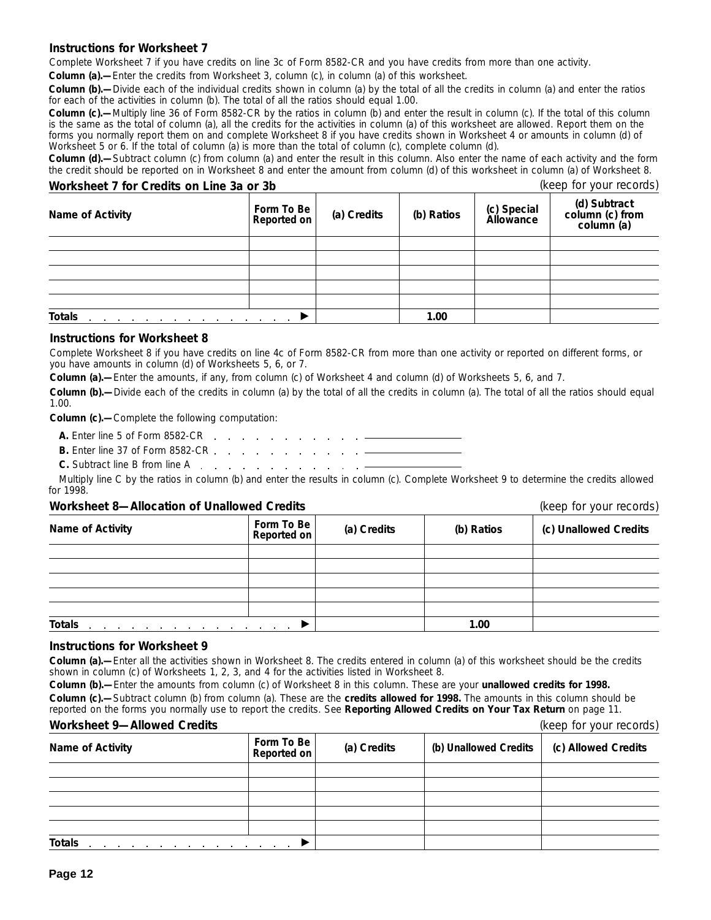### **Instructions for Worksheet 7**

Complete Worksheet 7 if you have credits on line 3c of Form 8582-CR and you have credits from more than one activity.

**Column (a).—**Enter the credits from Worksheet 3, column (c), in column (a) of this worksheet.

**Column (b).—**Divide each of the individual credits shown in column (a) by the total of all the credits in column (a) and enter the ratios for each of the activities in column (b). The total of all the ratios should equal 1.00.

**Column (c).—**Multiply line 36 of Form 8582-CR by the ratios in column (b) and enter the result in column (c). If the total of this column is the same as the total of column (a), all the credits for the activities in column (a) of this worksheet are allowed. Report them on the forms you normally report them on and complete Worksheet 8 if you have credits shown in Worksheet 4 or amounts in column (d) of Worksheet 5 or 6. If the total of column (a) is more than the total of column (c), complete column (d).

**Column (d).—**Subtract column (c) from column (a) and enter the result in this column. Also enter the name of each activity and the form the credit should be reported on in Worksheet 8 and enter the amount from column (d) of this worksheet in column (a) of Worksheet 8.

## **Worksheet 7 for Credits on Line 3a or 3b** (keep for your records)

| Name of Activity                                  | Form To Be<br>Reported on | (a) Credits | (b) Ratios | (c) Special<br>Allowance | (d) Subtract<br>column (c) from<br>column (a) |
|---------------------------------------------------|---------------------------|-------------|------------|--------------------------|-----------------------------------------------|
|                                                   |                           |             |            |                          |                                               |
|                                                   |                           |             |            |                          |                                               |
|                                                   |                           |             |            |                          |                                               |
|                                                   |                           |             |            |                          |                                               |
|                                                   |                           |             |            |                          |                                               |
| <b>Totals</b><br>and the company's company's com- |                           |             | 1.00       |                          |                                               |

### **Instructions for Worksheet 8**

Complete Worksheet 8 if you have credits on line 4c of Form 8582-CR from more than one activity or reported on different forms, or you have amounts in column (d) of Worksheets 5, 6, or 7.

**Column (a).—**Enter the amounts, if any, from column (c) of Worksheet 4 and column (d) of Worksheets 5, 6, and 7.

**Column (b).—**Divide each of the credits in column (a) by the total of all the credits in column (a). The total of all the ratios should equal 1.00.

**Column (c).—**Complete the following computation:

- **A.** Enter line 5 of Form 8582-CR
- **B.** Enter line 37 of Form 8582-CR
- **C.** Subtract line B from line A

Multiply line C by the ratios in column (b) and enter the results in column (c). Complete Worksheet 9 to determine the credits allowed for 1998.

#### **Worksheet 8—Allocation of Unallowed Credits** (*keep for your records*)

|                                                    |                           |             |            | $\mathbf{v}$ . The set of $\mathbf{v}$ is the set of $\mathbf{v}$ |
|----------------------------------------------------|---------------------------|-------------|------------|-------------------------------------------------------------------|
| Name of Activity                                   | Form To Be<br>Reported on | (a) Credits | (b) Ratios | (c) Unallowed Credits                                             |
|                                                    |                           |             |            |                                                                   |
|                                                    |                           |             |            |                                                                   |
|                                                    |                           |             |            |                                                                   |
|                                                    |                           |             |            |                                                                   |
|                                                    |                           |             |            |                                                                   |
| Totals<br>the contract of the contract of the con- |                           |             | 1.00       |                                                                   |

#### **Instructions for Worksheet 9**

**Column (a).—**Enter all the activities shown in Worksheet 8. The credits entered in column (a) of this worksheet should be the credits shown in column (c) of Worksheets 1, 2, 3, and 4 for the activities listed in Worksheet 8.

**Column (b).—**Enter the amounts from column (c) of Worksheet 8 in this column. These are your **unallowed credits for 1998.**

**Column (c).—**Subtract column (b) from column (a). These are the **credits allowed for 1998.** The amounts in this column should be reported on the forms you normally use to report the credits. See **Reporting Allowed Credits on Your Tax Return** on page 11.

## **Worksheet 9—Allowed Credits** (keep for your records)

|                  |                           |             |                       | $\mu$               |
|------------------|---------------------------|-------------|-----------------------|---------------------|
| Name of Activity | Form To Be<br>Reported on | (a) Credits | (b) Unallowed Credits | (c) Allowed Credits |
|                  |                           |             |                       |                     |
|                  |                           |             |                       |                     |
|                  |                           |             |                       |                     |
|                  |                           |             |                       |                     |
|                  |                           |             |                       |                     |
| <b>Totals</b>    |                           |             |                       |                     |